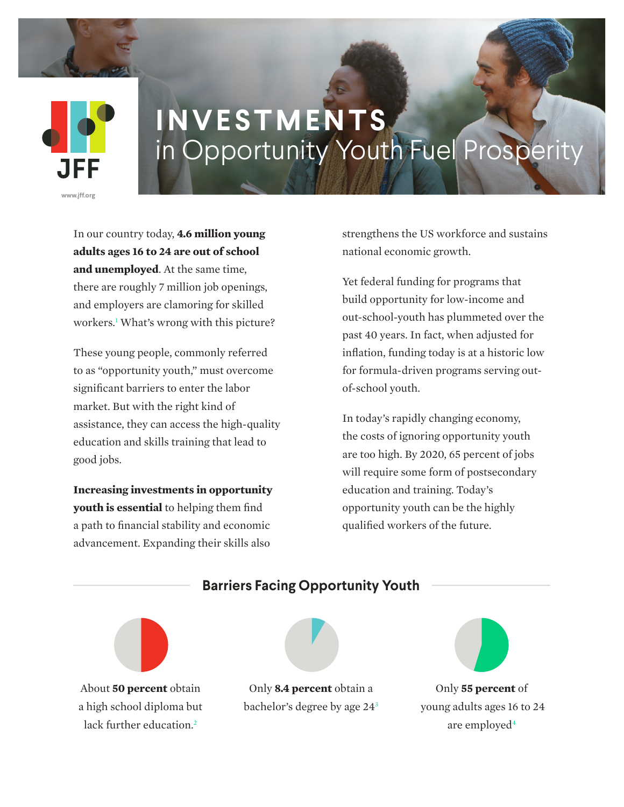

## **INVESTMENTS** in Opportunity Youth Fuel Prosperity

In our country today, **4.6 million young adults ages 16 to 24 are out of school and unemployed**. At the same time, there are roughly 7 million job openings, and employers are clamoring for skilled workers.1 What's wrong with this picture?

These young people, commonly referred to as "opportunity youth," must overcome significant barriers to enter the labor market. But with the right kind of assistance, they can access the high-quality education and skills training that lead to good jobs.

**Increasing investments in opportunity youth is essential** to helping them find a path to financial stability and economic advancement. Expanding their skills also

strengthens the US workforce and sustains national economic growth.

Yet federal funding for programs that build opportunity for low-income and out-school-youth has plummeted over the past 40 years. In fact, when adjusted for inflation, funding today is at a historic low for formula-driven programs serving outof-school youth.

In today's rapidly changing economy, the costs of ignoring opportunity youth are too high. By 2020, 65 percent of jobs will require some form of postsecondary education and training. Today's opportunity youth can be the highly qualified workers of the future.



About **50 percent** obtain a high school diploma but lack further education. $2$ 



bachelor's degree by age 243



Only **55 percent** of young adults ages 16 to 24 are employed<sup>4</sup>

### **Barriers Facing Opportunity Youth**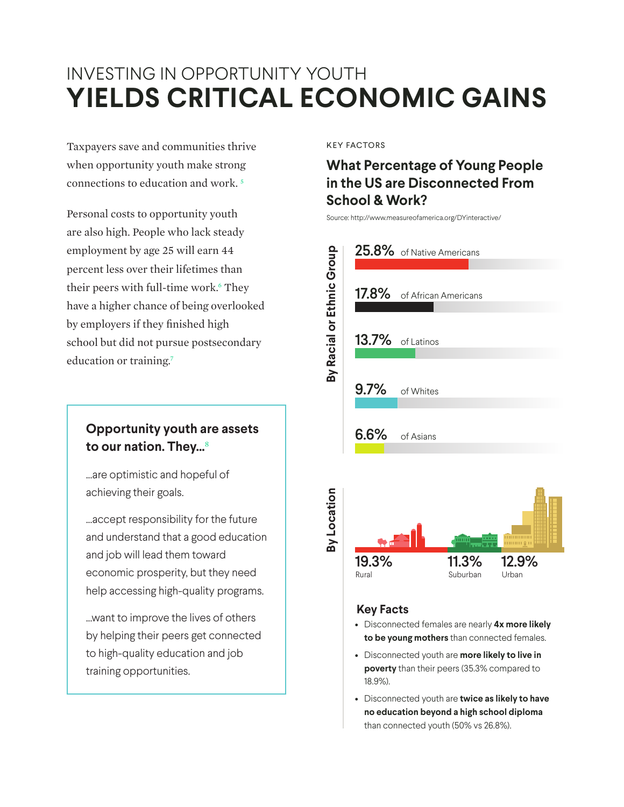## INVESTING IN OPPORTUNITY YOUTH **YIELDS CRITICAL ECONOMIC GAINS**

Taxpayers save and communities thrive when opportunity youth make strong connections to education and work. 5

Personal costs to opportunity youth are also high. People who lack steady employment by age 25 will earn 44 percent less over their lifetimes than their peers with full-time work.<sup>6</sup> They have a higher chance of being overlooked by employers if they finished high school but did not pursue postsecondary education or training.<sup>7</sup>

## **Opportunity youth are assets to our nation. They...**<sup>8</sup>

...are optimistic and hopeful of achieving their goals.

...accept responsibility for the future and understand that a good education and job will lead them toward economic prosperity, but they need help accessing high-quality programs.

...want to improve the lives of others by helping their peers get connected to high-quality education and job training opportunities.

KEY FACTORS

## **What Percentage of Young People in the US are Disconnected From School & Work?**

Source: http://www.measureofamerica.org/DYinteractive/



#### **Key Facts**

- Disconnected females are nearly **4x more likely to be young mothers** than connected females.
- Disconnected youth are **more likely to live in poverty** than their peers (35.3% compared to 18.9%).
- Disconnected youth are **twice as likely to have no education beyond a high school diploma** than connected youth (50% vs 26.8%).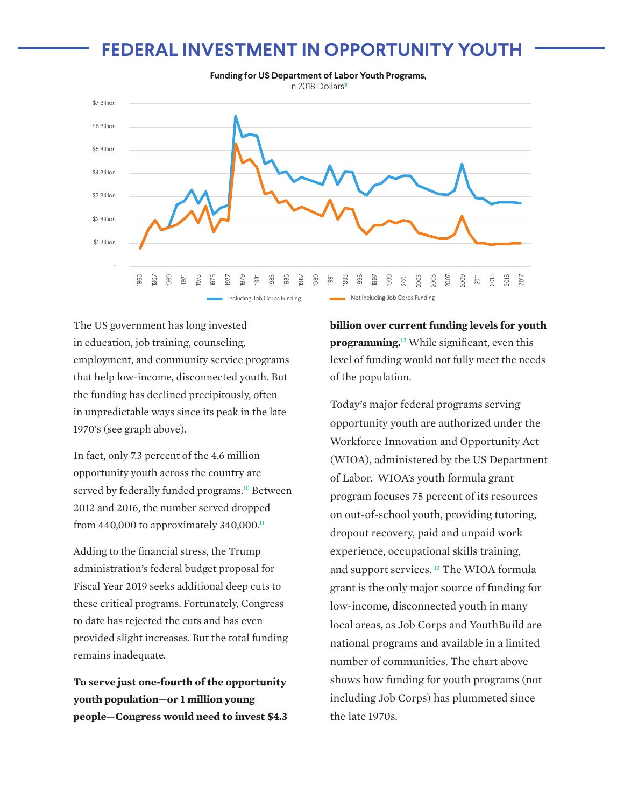## **FEDERAL INVESTMENT IN OPPORTUNITY YOUTH**



The US government has long invested in education, job training, counseling, employment, and community service programs that help low-income, disconnected youth. But the funding has declined precipitously, often in unpredictable ways since its peak in the late 1970's (see graph above).

In fact, only 7.3 percent of the 4.6 million opportunity youth across the country are served by federally funded programs.<sup>10</sup> Between 2012 and 2016, the number served dropped from 440,000 to approximately 340,000. $\textsuperscript{11}$ 

Adding to the financial stress, the Trump administration's federal budget proposal for Fiscal Year 2019 seeks additional deep cuts to these critical programs. Fortunately, Congress to date has rejected the cuts and has even provided slight increases. But the total funding remains inadequate.

**To serve just one-fourth of the opportunity youth population—or 1 million young people—Congress would need to invest \$4.3**  **billion over current funding levels for youth programming.**12 While significant, even this level of funding would not fully meet the needs of the population.

Today's major federal programs serving opportunity youth are authorized under the Workforce Innovation and Opportunity Act (WIOA), administered by the US Department of Labor. WIOA's youth formula grant program focuses 75 percent of its resources on out-of-school youth, providing tutoring, dropout recovery, paid and unpaid work experience, occupational skills training, and support services. 13 The WIOA formula grant is the only major source of funding for low-income, disconnected youth in many local areas, as Job Corps and YouthBuild are national programs and available in a limited number of communities. The chart above shows how funding for youth programs (not including Job Corps) has plummeted since the late 1970s.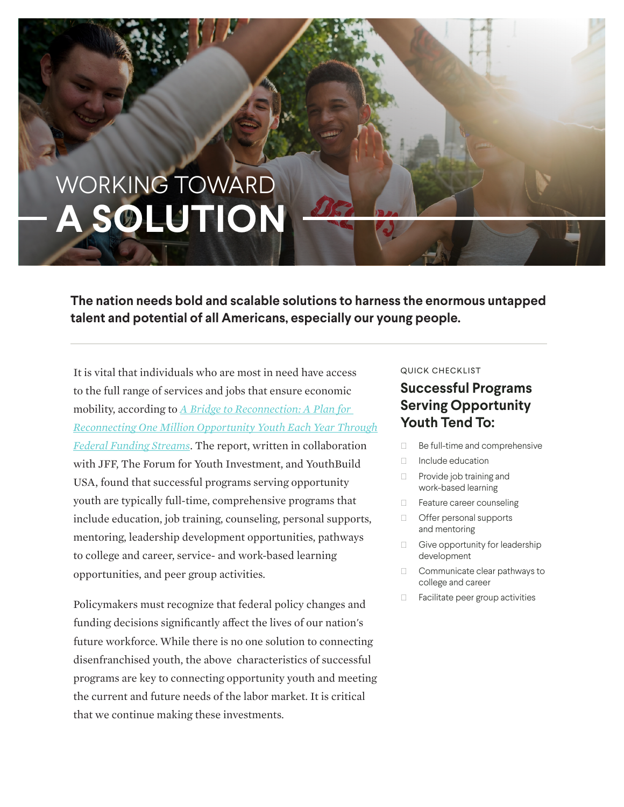# WORKING TOWARD **A SOLUTION**

**The nation needs bold and scalable solutions to harness the enormous untapped talent and potential of all Americans, especially our young people.**

It is vital that individuals who are most in need have access to the full range of services and jobs that ensure economic mobility, according to *A Bridge to Reconnection: A Plan for Reconnecting One Million Opportunity Youth Each Year Through Federal Funding Streams*. The report, written in collaboration with JFF, The Forum for Youth Investment, and YouthBuild USA, found that successful programs serving opportunity youth are typically full-time, comprehensive programs that include education, job training, counseling, personal supports, mentoring, leadership development opportunities, pathways to college and career, service- and work-based learning opportunities, and peer group activities.

Policymakers must recognize that federal policy changes and funding decisions significantly affect the lives of our nation's future workforce. While there is no one solution to connecting disenfranchised youth, the above characteristics of successful programs are key to connecting opportunity youth and meeting the current and future needs of the labor market. It is critical that we continue making these investments.

#### QUICK CHECKLIST

### **Successful Programs Serving Opportunity Youth Tend To:**

- Ͻ Be full-time and comprehensive
- Ͻ Include education
- Ͻ Provide job training and work-based learning
- Ͻ Feature career counseling
- Ͻ Offer personal supports and mentoring
- Ͻ Give opportunity for leadership development
- Ͻ Communicate clear pathways to college and career
- Ͻ Facilitate peer group activities